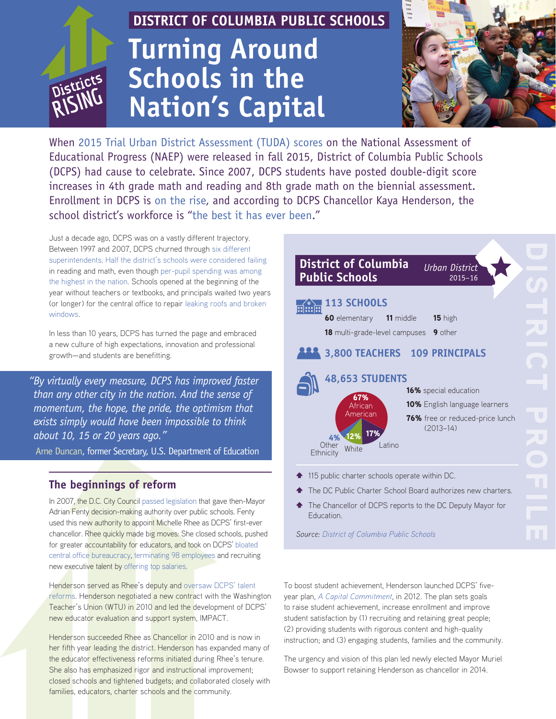# **RISING**

# **DISTRICT OF COLUMBIA PUBLIC SCHOOLS Turning Around Schools in the Nation's Capital**



When [2015 Trial Urban District Assessment \(TUDA\) scores](http://dcps.dc.gov/release/dc-public-schools-continues-momentum-fastest-improving-urban-school-district-country) on the National Assessment of Educational Progress (NAEP) were released in fall 2015, District of Columbia Public Schools (DCPS) had cause to celebrate. Since 2007, DCPS students have posted double-digit score increases in 4th grade math and reading and 8th grade math on the biennial assessment. Enrollment in DCPS is [on the rise,](http://dcps.dc.gov/release/dcps-enrollment-continues-increase-fourth-year-growth) and according to DCPS Chancellor Kaya Henderson, the school district's workforce is "[the best it has ever been."](http://dcps.dc.gov/release/chancellors-testimony-evaluation-public-schools-dc)

Just a decade ago, DCPS was on a vastly different trajectory. Between 1997 and 2007, DCPS churned through [six different](http://www.washingtonian.com/articles/people/can-michelle-rhee-save-dc-schools/)  [superintendents.](http://www.washingtonian.com/articles/people/can-michelle-rhee-save-dc-schools/) [Half the district's schools were considered failing](https://mitsloan.mit.edu/LearningEdge/CaseDocs/10-100.Mgmt%20Prin%20and%20DCPS%20A.Hafrey.External.pdf) in reading and math, even though [per-pupil spending was among](http://www.reuters.com/article/2007/05/24/us-usa-education-spending-idUSN2438214220070524#rWuGKLarQ2X2rDTI.97)  [the highest in the nation.](http://www.reuters.com/article/2007/05/24/us-usa-education-spending-idUSN2438214220070524#rWuGKLarQ2X2rDTI.97) Schools opened at the beginning of the year without teachers or textbooks, and principals waited two years (or longer) for the central office to repair [leaking roofs and broken](http://www.washingtonpost.com/wp-dyn/content/article/2007/06/09/AR2007060901415.html)  [windows](http://www.washingtonpost.com/wp-dyn/content/article/2007/06/09/AR2007060901415.html).

In less than 10 years, DCPS has turned the page and embraced a new culture of high expectations, innovation and professional growth—and students are benefitting.

*"By virtually every measure, DCPS has improved faster than any other city in the nation. And the sense of momentum, the hope, the pride, the optimism that exists simply would have been impossible to think about 10, 15 or 20 years ago."* 

[Arne Duncan](https://www.youtube.com/watch?v=oKc704yeJ7I), former Secretary, U.S. Department of Education

# **The beginnings of reform**

In 2007, the D.C. City Council [passed legislation](https://www.washingtonpost.com/local/education/despite-progress-dc-students-are-still-not-up-to-par-report-says/2015/06/22/58bc6b00-190c-11e5-93b7-5eddc056ad8a_story.html) that gave then-Mayor Adrian Fenty decision-making authority over public schools. Fenty used this new authority to appoint Michelle Rhee as DCPS' first-ever chancellor. Rhee quickly made big moves: She closed schools, pushed for greater accountability for educators, and took on DCPS' [bloated](http://www.washingtoncitypaper.com/articles/34099/the-office/)  [central office bureaucracy,](http://www.washingtoncitypaper.com/articles/34099/the-office/) [terminating 98 employees](http://www.washingtonpost.com/wp-dyn/content/article/2008/03/07/AR2008030702201.html?sub=AR&sid=ST2008030703474) and recruiting new executive talent by [offering top salaries.](http://www.washingtonian.com/articles/people/can-michelle-rhee-save-dc-schools/)

Henderson served as Rhee's deputy and [oversaw DCPS' talent](http://dcps.dc.gov/node/968192)  [reforms.](http://dcps.dc.gov/node/968192) Henderson negotiated a new contract with the Washington Teacher's Union (WTU) in 2010 and led the development of DCPS' new educator evaluation and support system, IMPACT.

Henderson succeeded Rhee as Chancellor in 2010 and is now in her fifth year leading the district. Henderson has expanded many of the educator effectiveness reforms initiated during Rhee's tenure. She also has emphasized rigor and instructional improvement; closed schools and tightened budgets; and collaborated closely with families, educators, charter schools and the community.

| <b>District of Columbia</b><br>Urban District<br><b>Public Schools</b><br>$2015 - 16$                                                                                                                                                                                                                                                                                                                    |
|----------------------------------------------------------------------------------------------------------------------------------------------------------------------------------------------------------------------------------------------------------------------------------------------------------------------------------------------------------------------------------------------------------|
| <b>113 SCHOOLS</b><br><br><br><b>60</b> elementary<br><b>11</b> middle<br>15 high<br><b>18</b> multi-grade-level campuses<br>9 other<br>3,800 TEACHERS 109 PRINCIPALS<br>48,653 STUDENTS<br>16% special education<br>67%<br><b>10%</b> English language learners<br>African<br>American<br>76% free or reduced-price lunch<br>$(2013 - 14)$<br>17%<br>12%<br>4%<br>Latino<br>Other<br>White<br>Ethnicity |
| 115 public charter schools operate within DC.<br>♠                                                                                                                                                                                                                                                                                                                                                       |
| The DC Public Charter School Board authorizes new charters.<br>♠<br>The Chancellor of DCPS reports to the DC Deputy Mayor for<br>♠<br>Education.                                                                                                                                                                                                                                                         |

*[Source:](http://dcps.dc.gov/service/school-data) [District of Columbia Public S](http://dcps.dc.gov/service/school-data)chools*

To boost student achievement, Henderson launched DCPS' fiveyear plan, *[A Capital Commitment](http://dcps.dc.gov/sites/default/files/dc/sites/dcps/publication/attachments/DCPS-Capital-Commitment-Strategic-Plan-April-2012.pdf)*, in 2012. The plan sets goals to raise student achievement, increase enrollment and improve student satisfaction by (1) recruiting and retaining great people; (2) providing students with rigorous content and high-quality instruction; and (3) engaging students, families and the community.

The urgency and vision of this plan led newly elected Mayor Muriel Bowser to support retaining Henderson as chancellor in 2014.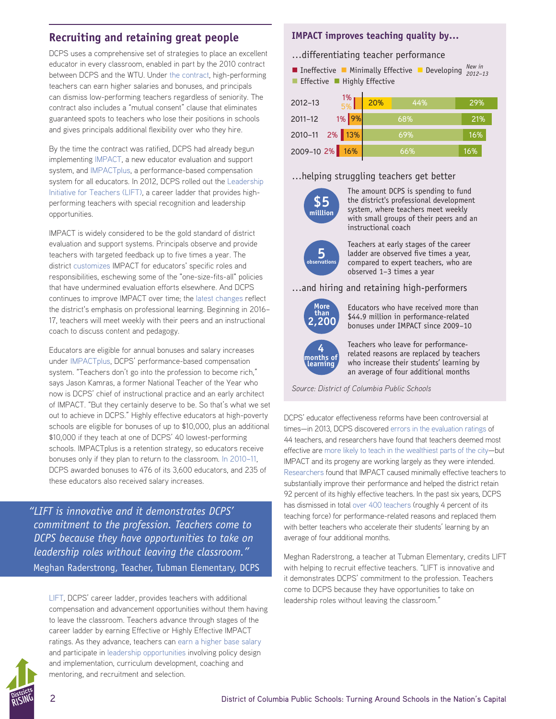# **Recruiting and retaining great people**

DCPS uses a comprehensive set of strategies to place an excellent educator in every classroom, enabled in part by the 2010 contract between DCPS and the WTU. Under [the contract](http://www.wtulocal6.org/usr/Documents/Final%20WTU%20DCPS%20Tentative%20Agreement.pdf), high-performing teachers can earn higher salaries and bonuses, and principals can dismiss low-performing teachers regardless of seniority. The contract also includes a "mutual consent" clause that eliminates guaranteed spots to teachers who lose their positions in schools and gives principals additional flexibility over who they hire.

By the time the contract was ratified, DCPS had already begun implementing [IMPACT,](http://dcps.dc.gov/node/976262) a new educator evaluation and support system, and [IMPACTplus,](http://dcps.dc.gov/page/impactplus) a performance-based compensation system for all educators. In 2012, DCPS rolled out the [Leadership](http://dcps.dc.gov/page/leadership-initiative-teachers-lift)  [Initiative for Teachers \(LIFT\)](http://dcps.dc.gov/page/leadership-initiative-teachers-lift), a career ladder that provides highperforming teachers with special recognition and leadership opportunities.

IMPACT is widely considered to be the gold standard of district evaluation and support systems. Principals observe and provide teachers with targeted feedback up to five times a year. The district [customizes](http://dcps.dc.gov/node/1110557) IMPACT for educators' specific roles and responsibilities, eschewing some of the "one-size-fits-all" policies that have undermined evaluation efforts elsewhere. And DCPS continues to improve IMPACT over time; the [latest changes](https://www.washingtonpost.com/local/education/dc-public-schools-to-overhaul-teacher-evaluation-and-training/2016/02/10/bdb9ed2a-cf41-11e5-b2bc-988409ee911b_story.html?tid=ss_tw) reflect the district's emphasis on professional learning. Beginning in 2016– 17, teachers will meet weekly with their peers and an instructional coach to discuss content and pedagogy.

Educators are eligible for annual bonuses and salary increases under [IMPACTplus](http://dcps.dc.gov/page/compensation-lift-and-impactplus), DCPS' performance-based compensation system. "Teachers don't go into the profession to become rich," says Jason Kamras, a former National Teacher of the Year who now is DCPS' chief of instructional practice and an early architect of IMPACT. "But they certainly deserve to be. So that's what we set out to achieve in DCPS." Highly effective educators at high-poverty schools are eligible for bonuses of up to \$10,000, plus an additional \$10,000 if they teach at one of DCPS' 40 lowest-performing schools. IMPACTplus is a retention strategy, so educators receive bonuses only if they plan to return to the classroom. [In 2010–11](http://www.nytimes.com/2012/01/01/education/big-pay-days-in-washington-dc-schools-merit-system.html?_r=1), DCPS awarded bonuses to 476 of its 3,600 educators, and 235 of these educators also received salary increases.

*"LIFT is innovative and it demonstrates DCPS' commitment to the profession. Teachers come to DCPS because they have opportunities to take on leadership roles without leaving the classroom."* Meghan Raderstrong, Teacher, Tubman Elementary, DCPS

[LIFT](http://dcps.dc.gov/page/leadership-initiative-teachers-lift), DCPS' career ladder, provides teachers with additional compensation and advancement opportunities without them having to leave the classroom. Teachers advance through stages of the career ladder by earning Effective or Highly Effective IMPACT ratings. As they advance, teachers can [earn a higher base salary](http://dcps.dc.gov/page/compensation-lift-and-impactplus) and participate in [leadership opportunities](http://dcps.dc.gov/page/leadership-opportunities-lift) involving policy design and implementation, curriculum development, coaching and mentoring, and recruitment and selection.

# **IMPACT improves teaching quality by…**

…differentiating teacher performance

**n** Ineffective **n** Minimally Effective **Developing**  $\frac{New in}{2012-1}$  $\blacksquare$  Effective  $\blacksquare$  Highly Effective *2012–13*

| $\frac{1\%}{5\%}$<br>$2012 - 13$ | 20% | 44% | 29% |  |
|----------------------------------|-----|-----|-----|--|
| 1% 9%<br>$2011 - 12$             |     | 68% | 21% |  |
| 2010-11 2% 13%                   |     | 69% | 16% |  |
| 2009-10 2% 16%                   |     | 66% | 16% |  |

### …helping struggling teachers get better



The amount DCPS is spending to fund the district's professional development system, where teachers meet weekly with small groups of their peers and an instructional coach



Teachers at early stages of the career ladder are observed five times a year, compared to expert teachers, who are observed 1–3 times a year

…and hiring and retaining high-performers



Educators who have received more than \$44.9 million in performance-related bonuses under IMPACT since 2009–10



Teachers who leave for performancerelated reasons are replaced by teachers who increase their students' learning by an average of four additional months

*[Source:](http://dcps.dc.gov/service/school-data) District of Columbia Public Schools*

DCPS' educator effectiveness reforms have been controversial at times—in 2013, DCPS discovered [errors in the evaluation ratings](https://www.washingtonpost.com/local/education/dc-school-officials-44-teachers-were-given-mistaken-performance-evaluations/2013/12/23/c5cb9f26-6c0c-11e3-a523-fe73f0ff6b8d_story.html) of 44 teachers, and researchers have found that teachers deemed most effective are [more likely to teach in the wealthiest parts of the city—](https://www.washingtonpost.com/local/education/district-embarks-on-plan-to-bring-more-quality-teachers-to-poor-schools/2015/02/06/b82d25b6-ae0e-11e4-9c91-e9d2f9fde644_story.html)but IMPACT and its progeny are working largely as they were intended. [Researchers](http://www.nber.org/papers/w19529.pdf) found that IMPACT caused minimally effective teachers to substantially improve their performance and helped the district retain 92 percent of its highly effective teachers. In the past six years, DCPS has dismissed in total [over 400 teachers](https://www.washingtonpost.com/local/education/98-dc-teachers-fired-for-poor-performance-school-officials-say/2012/08/01/gJQAu67vPX_story.html) (roughly 4 percent of its teaching force) for performance-related reasons and replaced them with better teachers who accelerate their students' learning by an average of four additional months.

Meghan Raderstrong, a teacher at Tubman Elementary, credits LIFT with helping to recruit effective teachers. "LIFT is innovative and it demonstrates DCPS' commitment to the profession. Teachers come to DCPS because they have opportunities to take on leadership roles without leaving the classroom."

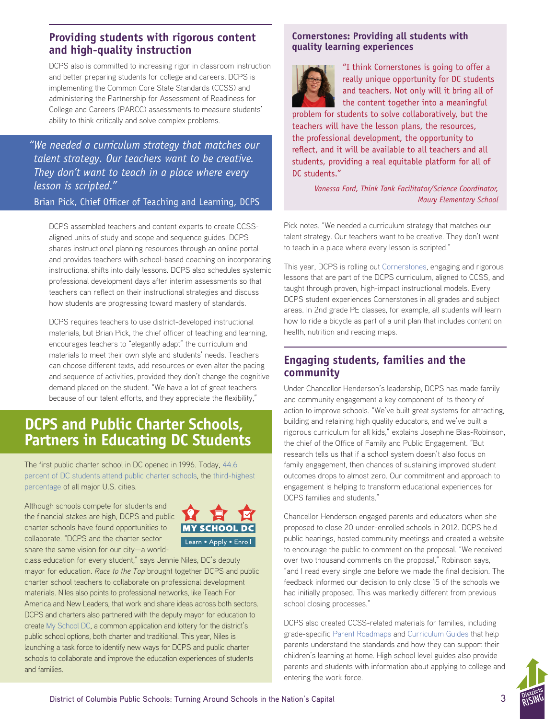# **Providing students with rigorous content and high-quality instruction**

DCPS also is committed to increasing rigor in classroom instruction and better preparing students for college and careers. DCPS is implementing the Common Core State Standards (CCSS) and administering the Partnership for Assessment of Readiness for College and Careers (PARCC) assessments to measure students' ability to think critically and solve complex problems.

*"We needed a curriculum strategy that matches our talent strategy. Our teachers want to be creative. They don't want to teach in a place where every lesson is scripted."* 

Brian Pick, Chief Officer of Teaching and Learning, DCPS

DCPS assembled teachers and content experts to create CCSSaligned units of study and scope and sequence guides. DCPS shares instructional planning resources through an online portal and provides teachers with school-based coaching on incorporating instructional shifts into daily lessons. DCPS also schedules systemic professional development days after interim assessments so that teachers can reflect on their instructional strategies and discuss how students are progressing toward mastery of standards.

DCPS requires teachers to use district-developed instructional materials, but Brian Pick, the chief officer of teaching and learning, encourages teachers to "elegantly adapt" the curriculum and materials to meet their own style and students' needs. Teachers can choose different texts, add resources or even alter the pacing and sequence of activities, provided they don't change the cognitive demand placed on the student. "We have a lot of great teachers because of our talent efforts, and they appreciate the flexibility,"

# **DCPS and Public Charter Schools, Partners in Educating DC Students**

The first public charter school in DC opened in 1996. Today, [44.6](http://www.dcpcsb.org/facts-and-figures-market-share)  [percent of DC students attend public charter schools,](http://www.dcpcsb.org/facts-and-figures-market-share) the [third-highest](http://www.publiccharters.org/wp-content/uploads/2014/12/2014_Enrollment_Share_FINAL.pdf)  [percentage](http://www.publiccharters.org/wp-content/uploads/2014/12/2014_Enrollment_Share_FINAL.pdf) of all major U.S. cities.

Although schools compete for students and the financial stakes are high, DCPS and public charter schools have found opportunities to collaborate. "DCPS and the charter sector share the same vision for our city—a world-



class education for every student," says Jennie Niles, DC's deputy mayor for education. *Race to the Top* brought together DCPS and public charter school teachers to collaborate on professional development materials. Niles also points to professional networks, like Teach For America and New Leaders, that work and share ideas across both sectors. DCPS and charters also partnered with the deputy mayor for education to create [My School DC,](http://www.myschooldc.org/) a common application and lottery for the district's public school options, both charter and traditional. This year, Niles is launching a task force to identify new ways for DCPS and public charter schools to collaborate and improve the education experiences of students and families.

# **Cornerstones: Providing all students with quality learning experiences**



"I think Cornerstones is going to offer a really unique opportunity for DC students and teachers. Not only will it bring all of the content together into a meaningful

problem for students to solve collaboratively, but the teachers will have the lesson plans, the resources, the professional development, the opportunity to reflect, and it will be available to all teachers and all students, providing a real equitable platform for all of DC students."

> *Vanessa Ford, Think Tank Facilitator/Science Coordinator, Maury Elementary School*

Pick notes. "We needed a curriculum strategy that matches our talent strategy. Our teachers want to be creative. They don't want to teach in a place where every lesson is scripted."

This year, DCPS is rolling out [Cornerstones,](https://www.youtube.com/watch?v=f9ij7uQbne4) engaging and rigorous lessons that are part of the DCPS curriculum, aligned to CCSS, and taught through proven, high-impact instructional models. Every DCPS student experiences Cornerstones in all grades and subject areas. In 2nd grade PE classes, for example, all students will learn how to ride a bicycle as part of a unit plan that includes content on health, nutrition and reading maps.

# **Engaging students, families and the community**

Under Chancellor Henderson's leadership, DCPS has made family and community engagement a key component of its theory of action to improve schools. "We've built great systems for attracting, building and retaining high quality educators, and we've built a rigorous curriculum for all kids," explains Josephine Bias-Robinson, the chief of the Office of Family and Public Engagement. "But research tells us that if a school system doesn't also focus on family engagement, then chances of sustaining improved student outcomes drops to almost zero. Our commitment and approach to engagement is helping to transform educational experiences for DCPS families and students."

Chancellor Henderson engaged parents and educators when she proposed to close 20 under-enrolled schools in 2012. DCPS held public hearings, hosted community meetings and created a website to encourage the public to comment on the proposal. "We received over two thousand comments on the proposal," Robinson says, "and I read every single one before we made the final decision. The feedback informed our decision to only close 15 of the schools we had initially proposed. This was markedly different from previous school closing processes."

DCPS also created CCSS-related materials for families, including grade-specific [Parent Roadmaps](http://dcps.dc.gov/publication/supporting-your-kindergartener-home) and [Curriculum Guides](http://dcps.dc.gov/node/1114421) that help parents understand the standards and how they can support their children's learning at home. High school level guides also provide parents and students with information about applying to college and entering the work force.

**RISING**